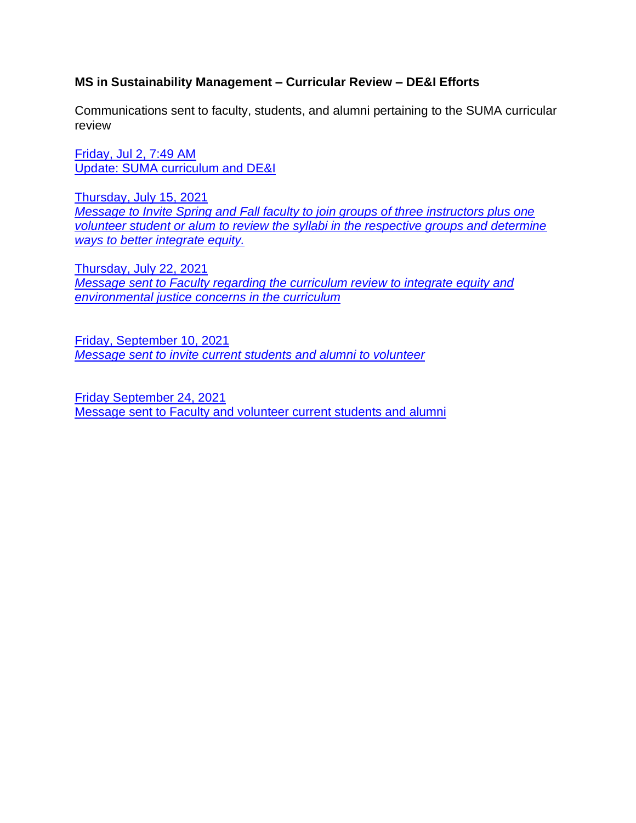# **MS in Sustainability Management – Curricular Review – DE&I Efforts**

Communications sent to faculty, students, and alumni pertaining to the SUMA curricular review

[Friday, Jul 2, 7:49 AM](#page-1-0) [Update: SUMA curriculum and DE&I](#page-1-0)

[Thursday, July 15, 2021](#page-2-0) *[Message to Invite Spring and Fall faculty to join groups of three instructors plus one](#page-2-0)  [volunteer student or alum to review the syllabi in the respective groups and determine](#page-2-0)  [ways to better integrate equity.](#page-2-0)*

[Thursday, July 22, 2021](#page-3-0) *[Message sent to Faculty regarding the curriculum review to integrate equity and](#page-3-0)  [environmental justice concerns in the curriculum](#page-3-0)*

[Friday, September 10, 2021](#page-6-0) *[Message sent to invite current students and alumni to volunteer](#page-6-0)*

[Friday September 24, 2021](#page-6-1) [Message sent to Faculty and volunteer current students and alumni](#page-6-1)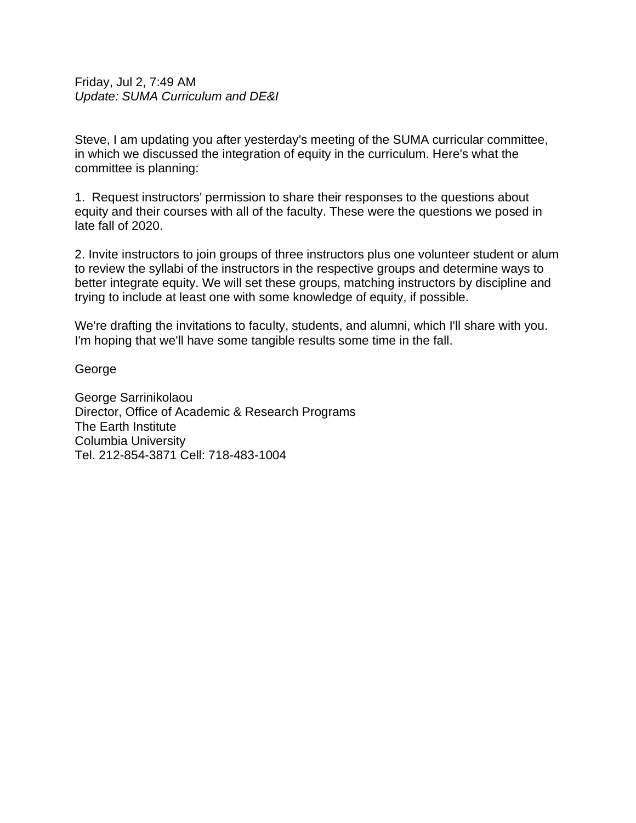<span id="page-1-0"></span>Friday, Jul 2, 7:49 AM *Update: SUMA Curriculum and DE&I*

Steve, I am updating you after yesterday's meeting of the SUMA curricular committee, in which we discussed the integration of equity in the curriculum. Here's what the committee is planning:

1. Request instructors' permission to share their responses to the questions about equity and their courses with all of the faculty. These were the questions we posed in late fall of 2020.

2. Invite instructors to join groups of three instructors plus one volunteer student or alum to review the syllabi of the instructors in the respective groups and determine ways to better integrate equity. We will set these groups, matching instructors by discipline and trying to include at least one with some knowledge of equity, if possible.

We're drafting the invitations to faculty, students, and alumni, which I'll share with you. I'm hoping that we'll have some tangible results some time in the fall.

George

George Sarrinikolaou Director, Office of Academic & Research Programs The Earth Institute Columbia University Tel. 212-854-3871 Cell: 718-483-1004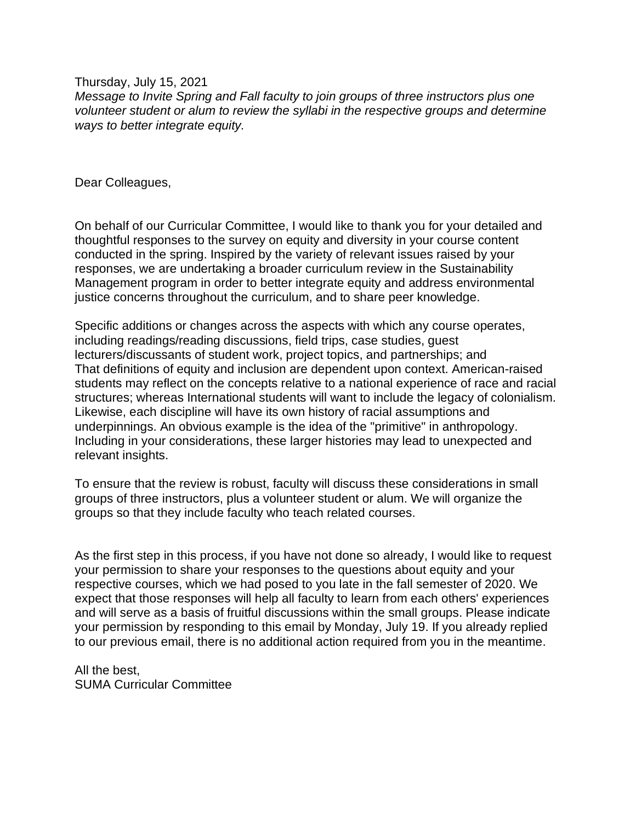<span id="page-2-0"></span>Thursday, July 15, 2021 *Message to Invite Spring and Fall faculty to join groups of three instructors plus one volunteer student or alum to review the syllabi in the respective groups and determine ways to better integrate equity.*

Dear Colleagues,

On behalf of our Curricular Committee, I would like to thank you for your detailed and thoughtful responses to the survey on equity and diversity in your course content conducted in the spring. Inspired by the variety of relevant issues raised by your responses, we are undertaking a broader curriculum review in the Sustainability Management program in order to better integrate equity and address environmental justice concerns throughout the curriculum, and to share peer knowledge.

Specific additions or changes across the aspects with which any course operates, including readings/reading discussions, field trips, case studies, guest lecturers/discussants of student work, project topics, and partnerships; and That definitions of equity and inclusion are dependent upon context. American-raised students may reflect on the concepts relative to a national experience of race and racial structures; whereas International students will want to include the legacy of colonialism. Likewise, each discipline will have its own history of racial assumptions and underpinnings. An obvious example is the idea of the "primitive" in anthropology. Including in your considerations, these larger histories may lead to unexpected and relevant insights.

To ensure that the review is robust, faculty will discuss these considerations in small groups of three instructors, plus a volunteer student or alum. We will organize the groups so that they include faculty who teach related courses.

As the first step in this process, if you have not done so already, I would like to request your permission to share your responses to the questions about equity and your respective courses, which we had posed to you late in the fall semester of 2020. We expect that those responses will help all faculty to learn from each others' experiences and will serve as a basis of fruitful discussions within the small groups. Please indicate your permission by responding to this email by Monday, July 19. If you already replied to our previous email, there is no additional action required from you in the meantime.

All the best, SUMA Curricular Committee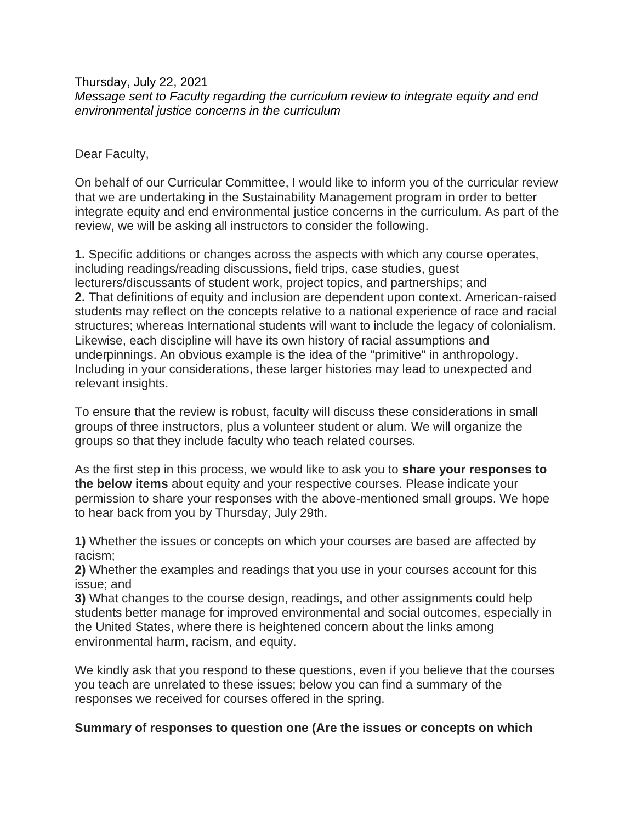<span id="page-3-0"></span>Thursday, July 22, 2021 *Message sent to Faculty regarding the curriculum review to integrate equity and end environmental justice concerns in the curriculum*

Dear Faculty,

On behalf of our Curricular Committee, I would like to inform you of the curricular review that we are undertaking in the Sustainability Management program in order to better integrate equity and end environmental justice concerns in the curriculum. As part of the review, we will be asking all instructors to consider the following.

**1.** Specific additions or changes across the aspects with which any course operates, including readings/reading discussions, field trips, case studies, guest lecturers/discussants of student work, project topics, and partnerships; and **2.** That definitions of equity and inclusion are dependent upon context. American-raised students may reflect on the concepts relative to a national experience of race and racial structures; whereas International students will want to include the legacy of colonialism. Likewise, each discipline will have its own history of racial assumptions and underpinnings. An obvious example is the idea of the "primitive" in anthropology. Including in your considerations, these larger histories may lead to unexpected and relevant insights.

To ensure that the review is robust, faculty will discuss these considerations in small groups of three instructors, plus a volunteer student or alum. We will organize the groups so that they include faculty who teach related courses.

As the first step in this process, we would like to ask you to **share your responses to the below items** about equity and your respective courses. Please indicate your permission to share your responses with the above-mentioned small groups. We hope to hear back from you by Thursday, July 29th.

**1)** Whether the issues or concepts on which your courses are based are affected by racism;

**2)** Whether the examples and readings that you use in your courses account for this issue; and

**3)** What changes to the course design, readings, and other assignments could help students better manage for improved environmental and social outcomes, especially in the United States, where there is heightened concern about the links among environmental harm, racism, and equity.

We kindly ask that you respond to these questions, even if you believe that the courses you teach are unrelated to these issues; below you can find a summary of the responses we received for courses offered in the spring.

## **Summary of responses to question one (Are the issues or concepts on which**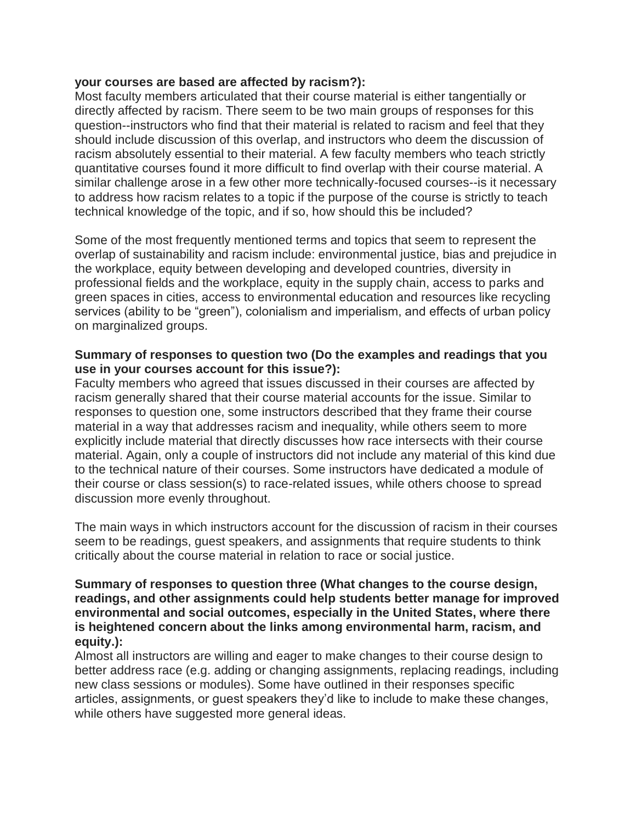### **your courses are based are affected by racism?):**

Most faculty members articulated that their course material is either tangentially or directly affected by racism. There seem to be two main groups of responses for this question--instructors who find that their material is related to racism and feel that they should include discussion of this overlap, and instructors who deem the discussion of racism absolutely essential to their material. A few faculty members who teach strictly quantitative courses found it more difficult to find overlap with their course material. A similar challenge arose in a few other more technically-focused courses--is it necessary to address how racism relates to a topic if the purpose of the course is strictly to teach technical knowledge of the topic, and if so, how should this be included?

Some of the most frequently mentioned terms and topics that seem to represent the overlap of sustainability and racism include: environmental justice, bias and prejudice in the workplace, equity between developing and developed countries, diversity in professional fields and the workplace, equity in the supply chain, access to parks and green spaces in cities, access to environmental education and resources like recycling services (ability to be "green"), colonialism and imperialism, and effects of urban policy on marginalized groups.

### **Summary of responses to question two (Do the examples and readings that you use in your courses account for this issue?):**

Faculty members who agreed that issues discussed in their courses are affected by racism generally shared that their course material accounts for the issue. Similar to responses to question one, some instructors described that they frame their course material in a way that addresses racism and inequality, while others seem to more explicitly include material that directly discusses how race intersects with their course material. Again, only a couple of instructors did not include any material of this kind due to the technical nature of their courses. Some instructors have dedicated a module of their course or class session(s) to race-related issues, while others choose to spread discussion more evenly throughout.

The main ways in which instructors account for the discussion of racism in their courses seem to be readings, guest speakers, and assignments that require students to think critically about the course material in relation to race or social justice.

### **Summary of responses to question three (What changes to the course design, readings, and other assignments could help students better manage for improved environmental and social outcomes, especially in the United States, where there is heightened concern about the links among environmental harm, racism, and equity.):**

Almost all instructors are willing and eager to make changes to their course design to better address race (e.g. adding or changing assignments, replacing readings, including new class sessions or modules). Some have outlined in their responses specific articles, assignments, or guest speakers they'd like to include to make these changes, while others have suggested more general ideas.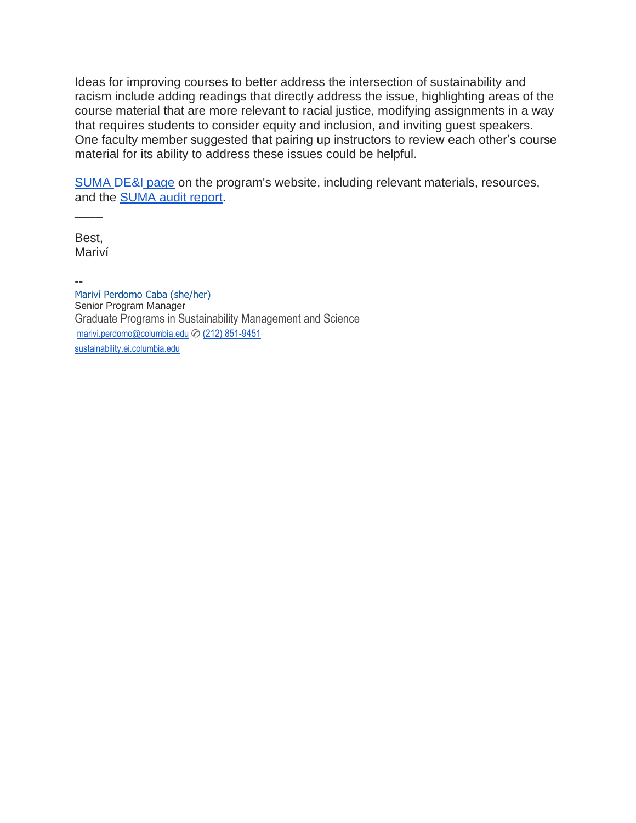Ideas for improving courses to better address the intersection of sustainability and racism include adding readings that directly address the issue, highlighting areas of the course material that are more relevant to racial justice, modifying assignments in a way that requires students to consider equity and inclusion, and inviting guest speakers. One faculty member suggested that pairing up instructors to review each other's course material for its ability to address these issues could be helpful.

[SUMA](https://www.sustainability.ei.columbia.edu/dei) DE&I page on the program's website, including relevant materials, resources, and the [SUMA audit report.](https://afddf8e8-2dfc-4526-9ba6-71e1899413f3.filesusr.com/ugd/571f98_9f0befd5ffde4f89a3e4c93229fea5da.pdf)

Best, Mariví

 $\overline{\phantom{a}}$ 

--

Mariví Perdomo Caba (she/her) Senior Program Manager Graduate Programs in Sustainability Management and Science [marivi.perdomo@columbia.edu](mailto:mp3221@columbia.edu) ✆ [\(212\) 851-9451](tel:(212)%20851-9451) [sustainability.ei.columbia.edu](http://sustainability.ei.columbia.edu/)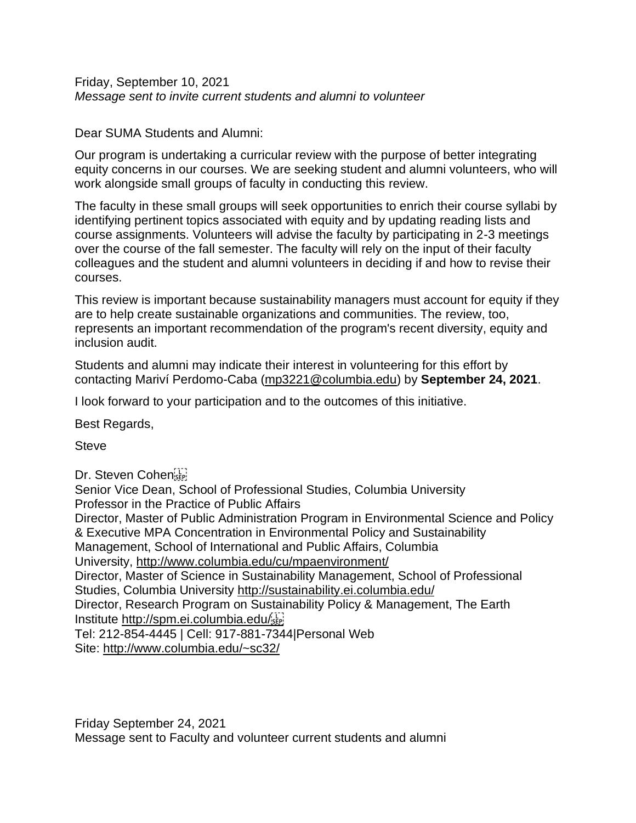<span id="page-6-0"></span>Friday, September 10, 2021 *Message sent to invite current students and alumni to volunteer*

### Dear SUMA Students and Alumni:

Our program is undertaking a curricular review with the purpose of better integrating equity concerns in our courses. We are seeking student and alumni volunteers, who will work alongside small groups of faculty in conducting this review.

The faculty in these small groups will seek opportunities to enrich their course syllabi by identifying pertinent topics associated with equity and by updating reading lists and course assignments. Volunteers will advise the faculty by participating in 2-3 meetings over the course of the fall semester. The faculty will rely on the input of their faculty colleagues and the student and alumni volunteers in deciding if and how to revise their courses.

This review is important because sustainability managers must account for equity if they are to help create sustainable organizations and communities. The review, too, represents an important recommendation of the program's recent diversity, equity and inclusion audit.

Students and alumni may indicate their interest in volunteering for this effort by contacting Mariví Perdomo-Caba [\(mp3221@columbia.edu\)](mailto:mp3221@columbia.edu) by **September 24, 2021**.

I look forward to your participation and to the outcomes of this initiative.

Best Regards,

**Steve** 

Dr. Steven Cohen

<span id="page-6-1"></span>Senior Vice Dean, School of Professional Studies, Columbia University Professor in the Practice of Public Affairs Director, Master of Public Administration Program in Environmental Science and Policy & Executive MPA Concentration in Environmental Policy and Sustainability Management, School of International and Public Affairs, Columbia University, [http://www.columbia.edu/cu/mpaenvironment/](https://columbia.us9.list-manage.com/track/click?u=8d64021af1853d9bad0633233&id=b4dfd5746f&e=6b1730a50e)  Director, Master of Science in Sustainability Management, School of Professional Studies, Columbia University [http://sustainability.ei.columbia.edu/](https://columbia.us9.list-manage.com/track/click?u=8d64021af1853d9bad0633233&id=6243b308f2&e=6b1730a50e) Director, Research Program on Sustainability Policy & Management, The Earth Institute [http://spm.ei.columbia.edu/](https://columbia.us9.list-manage.com/track/click?u=8d64021af1853d9bad0633233&id=3b145dd21f&e=6b1730a50e) Tel: 212-854-4445 | Cell: 917-881-7344|Personal Web Site: [http://www.columbia.edu/~sc32/](https://columbia.us9.list-manage.com/track/click?u=8d64021af1853d9bad0633233&id=e9905a9cd6&e=6b1730a50e)